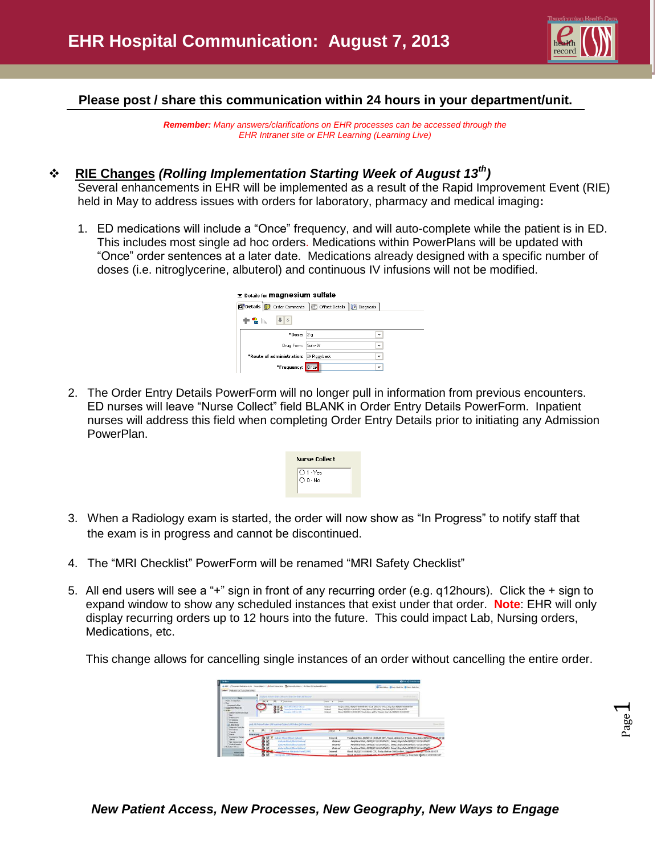

#### **Please post / share this communication within 24 hours in your department/unit.**

*Remember: Many answers/clarifications on EHR processes can be accessed through the EHR Intranet site or EHR Learning (Learning Live)*

# **RIE Changes** *(Rolling Implementation Starting Week of August 13th)*

Several enhancements in EHR will be implemented as a result of the Rapid Improvement Event (RIE) held in May to address issues with orders for laboratory, pharmacy and medical imaging**:**

1. ED medications will include a "Once" frequency, and will auto-complete while the patient is in ED. This includes most single ad hoc orders. Medications within PowerPlans will be updated with "Once" order sentences at a later date. Medications already designed with a specific number of doses (i.e. nitroglycerine, albuterol) and continuous IV infusions will not be modified.

| <b>Example 3 Details for Magnesium sulfate</b> |                                                                  |              |  |  |
|------------------------------------------------|------------------------------------------------------------------|--------------|--|--|
|                                                | Details <b>i</b> Order Comments   Gioffset Details   a Diagnosis |              |  |  |
| $   \cdot   $<br>Ⴕ⅋⊪                           |                                                                  |              |  |  |
| *Dose: 2 g                                     |                                                                  | $\checkmark$ |  |  |
| Drug Form: Soln-IV                             |                                                                  | $\checkmark$ |  |  |
| *Route of administration: IV Piggyback         |                                                                  | $\checkmark$ |  |  |
| *Frequency: Once                               |                                                                  | $\checkmark$ |  |  |

2. The Order Entry Details PowerForm will no longer pull in information from previous encounters. ED nurses will leave "Nurse Collect" field BLANK in Order Entry Details PowerForm. Inpatient nurses will address this field when completing Order Entry Details prior to initiating any Admission PowerPlan.



- 3. When a Radiology exam is started, the order will now show as "In Progress" to notify staff that the exam is in progress and cannot be discontinued.
- 4. The "MRI Checklist" PowerForm will be renamed "MRI Safety Checklist"
- 5. All end users will see a "+" sign in front of any recurring order (e.g. q12hours). Click the + sign to expand window to show any scheduled instances that exist under that order. **Note**: EHR will only display recurring orders up to 12 hours into the future. This could impact Lab, Nursing orders, Medications, etc.

This change allows for cancelling single instances of an order without cancelling the entire order.

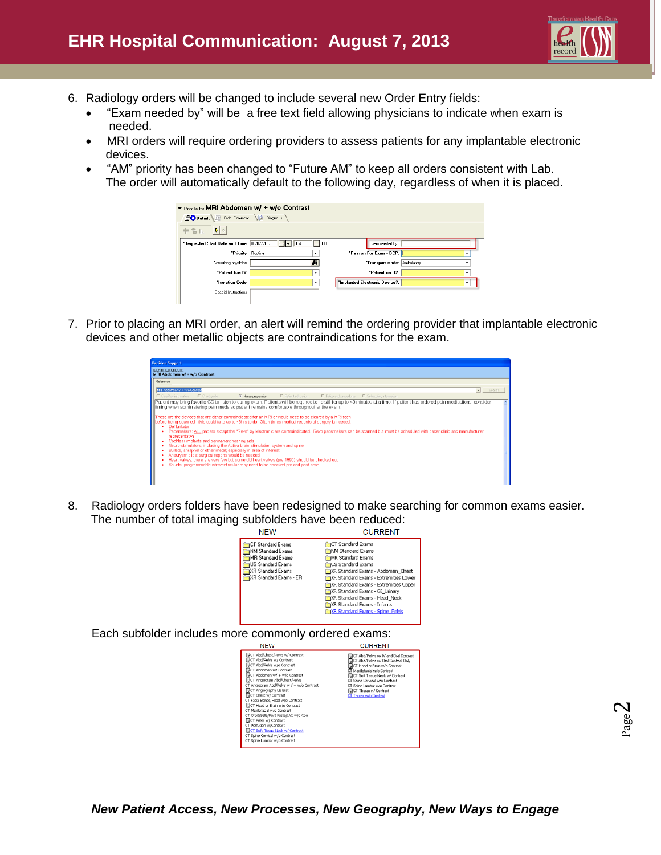

- 6. Radiology orders will be changed to include several new Order Entry fields:
	- "Exam needed by" will be a free text field allowing physicians to indicate when exam is needed.
	- MRI orders will require ordering providers to assess patients for any implantable electronic devices.
	- "AM" priority has been changed to "Future AM" to keep all orders consistent with Lab. The order will automatically default to the following day, regardless of when it is placed.

| E Details for MRI Abdomen w/ + w/o Contrast |                   |                                |              |
|---------------------------------------------|-------------------|--------------------------------|--------------|
| Details IF Order Comments                   | <b>Diagnosis</b>  |                                |              |
| $\vert \mathbf{J} \vert$ $>$<br>十名际         |                   |                                |              |
| "Requested Start Date and Time: 08/02/2013  | ÷<br>10945<br>H-I | CDT<br>Exam needed by::        |              |
| *Priority: Routine                          | v                 | *Reason For Exam - DCP:        | $\checkmark$ |
| Consulting physician:                       | đâ.               | *Transport mode: Ambulatory    | v            |
| "Patient has IV:                            | $\checkmark$      | *Patient on 02:                | $\checkmark$ |
| "Isolation Code:                            | $\checkmark$      | "Implanted Electronic Device?: | $\checkmark$ |
| Special Instructions:                       |                   |                                |              |
|                                             |                   |                                |              |

7. Prior to placing an MRI order, an alert will remind the ordering provider that implantable electronic devices and other metallic objects are contraindications for the exam.

| <b>Decision Support</b>                                                                                                                                                                                                                                                                                                                                                                                                                                                                                                                                                                                                                                                                                                                                                                                                                                                                                                                                                                                                                                                                                                                                                                                                |                     |                                    |  |  |  |  |
|------------------------------------------------------------------------------------------------------------------------------------------------------------------------------------------------------------------------------------------------------------------------------------------------------------------------------------------------------------------------------------------------------------------------------------------------------------------------------------------------------------------------------------------------------------------------------------------------------------------------------------------------------------------------------------------------------------------------------------------------------------------------------------------------------------------------------------------------------------------------------------------------------------------------------------------------------------------------------------------------------------------------------------------------------------------------------------------------------------------------------------------------------------------------------------------------------------------------|---------------------|------------------------------------|--|--|--|--|
| <b>IDENTIFIED ORDER:</b><br><b>MRI Abdomen w/ + w/o Contrast</b>                                                                                                                                                                                                                                                                                                                                                                                                                                                                                                                                                                                                                                                                                                                                                                                                                                                                                                                                                                                                                                                                                                                                                       |                     |                                    |  |  |  |  |
| Reference                                                                                                                                                                                                                                                                                                                                                                                                                                                                                                                                                                                                                                                                                                                                                                                                                                                                                                                                                                                                                                                                                                                                                                                                              |                     |                                    |  |  |  |  |
| MRI Abdomen w/ + w/o Contrast                                                                                                                                                                                                                                                                                                                                                                                                                                                                                                                                                                                                                                                                                                                                                                                                                                                                                                                                                                                                                                                                                                                                                                                          |                     | $\overline{\phantom{a}}$<br>Search |  |  |  |  |
| C CarePlan information<br>C Chart quide<br>G Nuse preparation                                                                                                                                                                                                                                                                                                                                                                                                                                                                                                                                                                                                                                                                                                                                                                                                                                                                                                                                                                                                                                                                                                                                                          | C Patient education |                                    |  |  |  |  |
| C Policy and procedures C Scheduling information<br>Patient may bring favorite CD to listen to during exam. Patients will be required to lie still for up to 40 minutes at a time. If patient has ordered pain medications, consider<br>timing when administering pain meds so patient remains comfortable throughout entire exam.<br>These are the devices that are either contraindicated for an MRI or would need to be cleared by a MRI tech<br>libefore being scanned - this could take up to 48hrs to do. Often times medical records of surgery is needed.<br>Defibrillator<br>Pacemakers: ALL pacers except the "Revo" by Medtronic are contraindicated. Revo pacemakers can be scanned but must be scheduled with pacer clinic and manufacturer<br>representative<br>Cochlear implants and permanent hearing aids<br>٠<br>Neuro-stimulators; including the Activa brain stimulation system and spine<br>Bullets, shrapnel or other metal; especially in area of interest<br>Aneurysm clips: surgical reports would be needed<br>Heart valves: there are very few but some old heart valves (pre 1990) should be checked out<br>Shunts: programmable intraventricular may need to be checked pre and post scan |                     |                                    |  |  |  |  |

8. Radiology orders folders have been redesigned to make searching for common exams easier. The number of total imaging subfolders have been reduced:

| IN⊏VV                                                                                                                                           | . <del>.</del>                                                                                                                                                                                                                                                                                                                                        |
|-------------------------------------------------------------------------------------------------------------------------------------------------|-------------------------------------------------------------------------------------------------------------------------------------------------------------------------------------------------------------------------------------------------------------------------------------------------------------------------------------------------------|
| CT Standard Exams<br><b>INM Standard Exams</b><br>MR Standard Exams<br><b>IUS Standard Exams</b><br>XR Standard Exams<br>XR Standard Exams - ER | <b>CT</b> Standard Exams<br>INM Standard Exams<br>MR Standard Exams<br>US Standard Exams<br>XR Standard Exams - Abdomen Chest<br>XR Standard Exams - Extremities Lower<br>XR Standard Exams - Extremities Upper<br>XR Standard Exams - GI Urinary<br>XR Standard Exams - Head Neck<br>XR Standard Exams - Infants<br>XR Standard Exams - Spine Pelvis |
|                                                                                                                                                 |                                                                                                                                                                                                                                                                                                                                                       |

Each subfolder includes more commonly ordered exams:<br>CURRENT

**NFW** 

| CT Abd/Chest/Pelvis w/ Contrast<br><b>QCT Abd/Pelvis w/ Contrast</b><br><b>QCT Abd/Pelvis w/o Contrast</b><br>CT Abdomen w/ Contrast<br>LCT Abdomen w/ + w/o Contrast<br><b>MCT Angiogram Abd/Chest/Pelvis</b><br>CT Angiogram Abd/Pelvis w / + w/o Contrast<br><b>DICT Angiography LE Blat</b><br><b>QCT</b> Chest w/ Contrast<br>CT Facial Bones/Head w/o Contrast<br>CT Head or Brain w/o Contrast<br>CT Maxillofacial w/o Contrast<br>CT Orbit/Sella/Post Fossa/IAC w/o Con<br><b>QCT Pelvis w/ Contrast</b><br>CT Perfusion w/Contrast<br><b>INCT Soft Tissue Neck w/ Contrast</b><br>CT Spine Cervical w/o Contrast<br>CT Spine Lumbar w/o Contrast | J CT Abd/Pelvis w/ IV and Oral Contrast<br>CT Abd/Pelvis w/ Oral Contrast Only<br><b>DET Head or Brain w/o Contrast</b><br>CT Maxillofacial w/o Contrast<br><b>DE</b> CT Soft Tissue Neck w/ Contrast<br>CT Spine Cervical w/o Contrast<br>CT Spine Lumbar w/o Contrast<br>CT Thorax w/ Contrast<br>CT Thorax w/o Contrast |
|-----------------------------------------------------------------------------------------------------------------------------------------------------------------------------------------------------------------------------------------------------------------------------------------------------------------------------------------------------------------------------------------------------------------------------------------------------------------------------------------------------------------------------------------------------------------------------------------------------------------------------------------------------------|----------------------------------------------------------------------------------------------------------------------------------------------------------------------------------------------------------------------------------------------------------------------------------------------------------------------------|
|                                                                                                                                                                                                                                                                                                                                                                                                                                                                                                                                                                                                                                                           |                                                                                                                                                                                                                                                                                                                            |